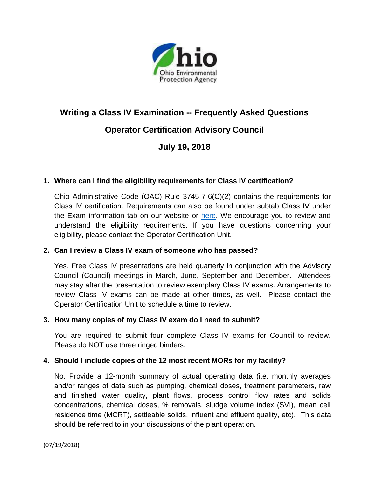

# **Writing a Class IV Examination -- Frequently Asked Questions**

# **Operator Certification Advisory Council**

# **July 19, 2018**

## **1. Where can I find the eligibility requirements for Class IV certification?**

Ohio Administrative Code (OAC) Rule 3745-7-6(C)(2) contains the requirements for Class IV certification. Requirements can also be found under subtab Class IV under the Exam information tab on our website or [here.](http://epa.ohio.gov/Portals/28/documents/opcert/ClassIVEligibilityRequirements.pdf) We encourage you to review and understand the eligibility requirements. If you have questions concerning your eligibility, please contact the Operator Certification Unit.

#### **2. Can I review a Class IV exam of someone who has passed?**

Yes. Free Class IV presentations are held quarterly in conjunction with the Advisory Council (Council) meetings in March, June, September and December. Attendees may stay after the presentation to review exemplary Class IV exams. Arrangements to review Class IV exams can be made at other times, as well. Please contact the Operator Certification Unit to schedule a time to review.

#### **3. How many copies of my Class IV exam do I need to submit?**

You are required to submit four complete Class IV exams for Council to review. Please do NOT use three ringed binders.

#### **4. Should I include copies of the 12 most recent MORs for my facility?**

No. Provide a 12-month summary of actual operating data (i.e. monthly averages and/or ranges of data such as pumping, chemical doses, treatment parameters, raw and finished water quality, plant flows, process control flow rates and solids concentrations, chemical doses, % removals, sludge volume index (SVI), mean cell residence time (MCRT), settleable solids, influent and effluent quality, etc). This data should be referred to in your discussions of the plant operation.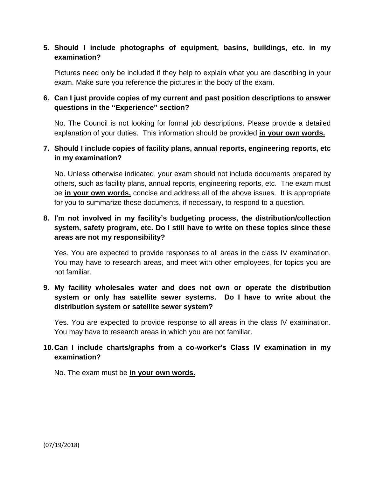# **5. Should I include photographs of equipment, basins, buildings, etc. in my examination?**

Pictures need only be included if they help to explain what you are describing in your exam. Make sure you reference the pictures in the body of the exam.

# **6. Can I just provide copies of my current and past position descriptions to answer questions in the "Experience" section?**

No. The Council is not looking for formal job descriptions. Please provide a detailed explanation of your duties. This information should be provided **in your own words.**

## **7. Should I include copies of facility plans, annual reports, engineering reports, etc in my examination?**

No. Unless otherwise indicated, your exam should not include documents prepared by others, such as facility plans, annual reports, engineering reports, etc. The exam must be **in your own words,** concise and address all of the above issues. It is appropriate for you to summarize these documents, if necessary, to respond to a question.

# **8. I'm not involved in my facility's budgeting process, the distribution/collection system, safety program, etc. Do I still have to write on these topics since these areas are not my responsibility?**

Yes. You are expected to provide responses to all areas in the class IV examination. You may have to research areas, and meet with other employees, for topics you are not familiar.

# **9. My facility wholesales water and does not own or operate the distribution system or only has satellite sewer systems. Do I have to write about the distribution system or satellite sewer system?**

Yes. You are expected to provide response to all areas in the class IV examination. You may have to research areas in which you are not familiar.

# **10.Can I include charts/graphs from a co-worker's Class IV examination in my examination?**

No. The exam must be **in your own words.**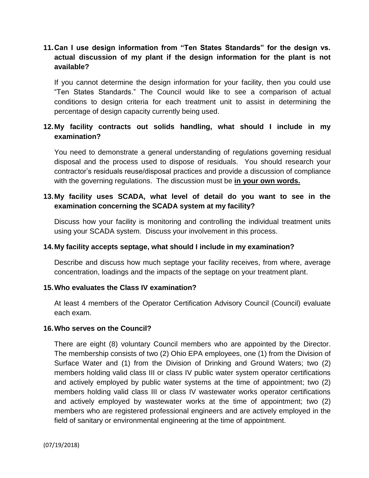# **11.Can I use design information from "Ten States Standards" for the design vs. actual discussion of my plant if the design information for the plant is not available?**

If you cannot determine the design information for your facility, then you could use "Ten States Standards." The Council would like to see a comparison of actual conditions to design criteria for each treatment unit to assist in determining the percentage of design capacity currently being used.

# **12.My facility contracts out solids handling, what should I include in my examination?**

You need to demonstrate a general understanding of regulations governing residual disposal and the process used to dispose of residuals. You should research your contractor's residuals reuse/disposal practices and provide a discussion of compliance with the governing regulations. The discussion must be **in your own words.**

# **13.My facility uses SCADA, what level of detail do you want to see in the examination concerning the SCADA system at my facility?**

Discuss how your facility is monitoring and controlling the individual treatment units using your SCADA system. Discuss your involvement in this process.

## **14.My facility accepts septage, what should I include in my examination?**

Describe and discuss how much septage your facility receives, from where, average concentration, loadings and the impacts of the septage on your treatment plant.

#### **15.Who evaluates the Class IV examination?**

At least 4 members of the Operator Certification Advisory Council (Council) evaluate each exam.

#### **16.Who serves on the Council?**

There are eight (8) voluntary Council members who are appointed by the Director. The membership consists of two (2) Ohio EPA employees, one (1) from the Division of Surface Water and (1) from the Division of Drinking and Ground Waters; two (2) members holding valid class III or class IV public water system operator certifications and actively employed by public water systems at the time of appointment; two (2) members holding valid class III or class IV wastewater works operator certifications and actively employed by wastewater works at the time of appointment; two (2) members who are registered professional engineers and are actively employed in the field of sanitary or environmental engineering at the time of appointment.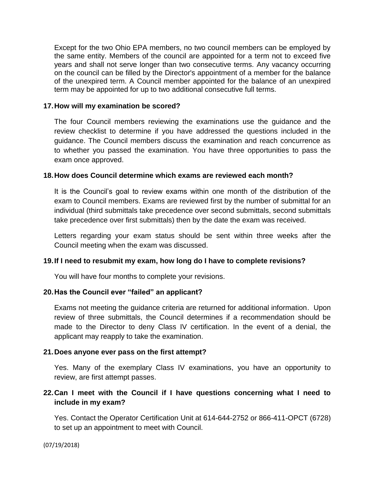Except for the two Ohio EPA members, no two council members can be employed by the same entity. Members of the council are appointed for a term not to exceed five years and shall not serve longer than two consecutive terms. Any vacancy occurring on the council can be filled by the Director's appointment of a member for the balance of the unexpired term. A Council member appointed for the balance of an unexpired term may be appointed for up to two additional consecutive full terms.

#### **17.How will my examination be scored?**

The four Council members reviewing the examinations use the guidance and the review checklist to determine if you have addressed the questions included in the guidance. The Council members discuss the examination and reach concurrence as to whether you passed the examination. You have three opportunities to pass the exam once approved.

#### **18.How does Council determine which exams are reviewed each month?**

It is the Council's goal to review exams within one month of the distribution of the exam to Council members. Exams are reviewed first by the number of submittal for an individual (third submittals take precedence over second submittals, second submittals take precedence over first submittals) then by the date the exam was received.

Letters regarding your exam status should be sent within three weeks after the Council meeting when the exam was discussed.

#### **19.If I need to resubmit my exam, how long do I have to complete revisions?**

You will have four months to complete your revisions.

## **20.Has the Council ever "failed" an applicant?**

Exams not meeting the guidance criteria are returned for additional information. Upon review of three submittals, the Council determines if a recommendation should be made to the Director to deny Class IV certification. In the event of a denial, the applicant may reapply to take the examination.

#### **21.Does anyone ever pass on the first attempt?**

Yes. Many of the exemplary Class IV examinations, you have an opportunity to review, are first attempt passes.

## **22.Can I meet with the Council if I have questions concerning what I need to include in my exam?**

Yes. Contact the Operator Certification Unit at 614-644-2752 or 866-411-OPCT (6728) to set up an appointment to meet with Council.